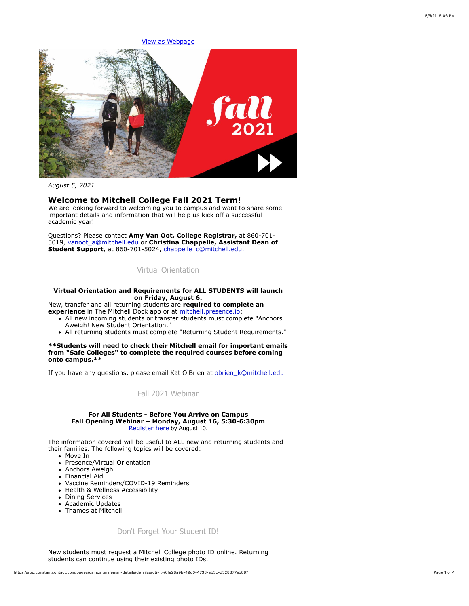

*August 5, 2021*

## **Welcome to Mitchell College Fall 2021 Term!**

We are looking forward to welcoming you to campus and want to share some important details and information that will help us kick off a successful academic year!

Questions? Please contact **Amy Van Oot, College Registrar,** at 860-701- 5019, [vanoot\\_a@mitchell.edu](mailto:vanoot_a@mitchell.edu) or **Christina Chappelle, Assistant Dean of Student Support**, at 860-701-5024, [chappelle\\_c@mitchell.edu](mailto:chappelle_c@mitchell.edu).

## [Virtual Orientation](https://app.constantcontact.com/pages/campaigns/email-details/details/activity/0fe28a9b-49d0-4733-ab3c-d328877ab897#)

### **Virtual Orientation and Requirements for ALL STUDENTS will launch on Friday, August 6.**

New, transfer and all returning students are **required to complete an experience** in The Mitchell Dock app or at [mitchell.presence.io](https://mitchell.presence.io/):

- All new incoming students or transfer students must complete "Anchors" Aweigh! New Student Orientation."
- All returning students must complete "Returning Student Requirements."

**\*\*Students will need to check their Mitchell email for important emails from "Safe Colleges" to complete the required courses before coming onto campus.\*\***

If you have any questions, please email Kat O'Brien at obrien k@mitchell.edu.

## [Fall 2021 Webinar](https://web.cvent.com/event/7d27ee39-6f12-409f-95b9-ee9e74bb98d6/regProcessStep1)

#### **For All Students - Before You Arrive on Campus Fall Opening Webinar – Monday, August 16, 5:30-6:30pm** [Register here](https://web.cvent.com/event/7d27ee39-6f12-409f-95b9-ee9e74bb98d6/regProcessStep1) by August 10.

The information covered will be useful to ALL new and returning students and their families. The following topics will be covered:

- Move In
- Presence/Virtual Orientation
- Anchors Aweigh
- Financial Aid
- Vaccine Reminders/COVID-19 Reminders
- Health & Wellness Accessibility
- Dining Services
- Academic Updates
- Thames at Mitchell

### [Don't Forget Your Student ID!](https://app.constantcontact.com/pages/campaigns/email-details/details/activity/0fe28a9b-49d0-4733-ab3c-d328877ab897#)

New students must request a Mitchell College photo ID online. Returning students can continue using their existing photo IDs.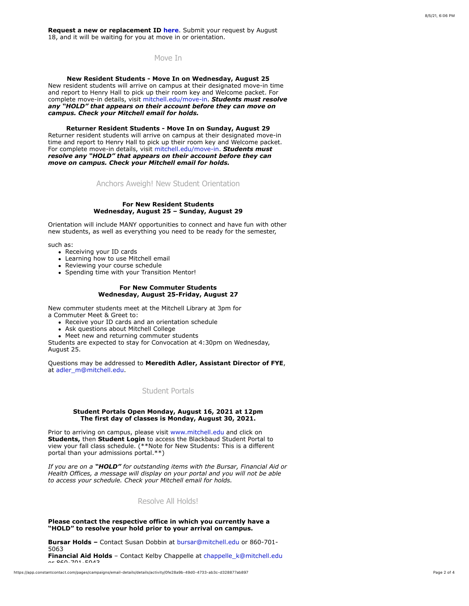**Request a new or replacement ID [here](http://mitchell.libguides.com/photoIDs)**. Submit your request by August 18, and it will be waiting for you at move in or orientation.

[Move In](https://app.constantcontact.com/pages/campaigns/email-details/details/activity/0fe28a9b-49d0-4733-ab3c-d328877ab897#)

**New Resident Students - Move In on Wednesday, August 25** New resident students will arrive on campus at their designated move-in time and report to Henry Hall to pick up their room key and Welcome packet. For complete move-in details, visit [mitchell.edu/move-in.](https://mitchell.edu/move-in) *Students must resolve any "HOLD" that appears on their account before they can move on campus. Check your Mitchell email for holds.*

**Returner Resident Students - Move In on Sunday, August 29** Returner resident students will arrive on campus at their designated move-in time and report to Henry Hall to pick up their room key and Welcome packet. For complete move-in details, visit [mitchell.edu/move-in.](https://mitchell.edu/move-in) *Students must resolve any "HOLD" that appears on their account before they can move on campus. Check your Mitchell email for holds.*

[Anchors Aweigh! New Student Orientation](https://app.constantcontact.com/pages/campaigns/email-details/details/activity/0fe28a9b-49d0-4733-ab3c-d328877ab897#)

### **For New Resident Students Wednesday, August 25 – Sunday, August 29**

Orientation will include MANY opportunities to connect and have fun with other new students, as well as everything you need to be ready for the semester,

such as:

- Receiving your ID cards
- Learning how to use Mitchell email
- Reviewing your course schedule
- Spending time with your Transition Mentor!

### **For New Commuter Students Wednesday, August 25-Friday, August 27**

New commuter students meet at the Mitchell Library at 3pm for a Commuter Meet & Greet to:

- Receive your ID cards and an orientation schedule
- Ask questions about Mitchell College
- Meet new and returning commuter students

Students are expected to stay for Convocation at 4:30pm on Wednesday, August 25.

Questions may be addressed to **Meredith Adler, Assistant Director of FYE**, at [adler\\_m@mitchell.edu.](mailto:adler_m@mitchell.edu)

[Student Portals](https://app.constantcontact.com/pages/campaigns/email-details/details/activity/0fe28a9b-49d0-4733-ab3c-d328877ab897#)

### **Student Portals Open Monday, August 16, 2021 at 12pm The first day of classes is Monday, August 30, 2021.**

Prior to arriving on campus, please visit [www.mitchell.edu](http://www.mitchell.edu/) and click on **Students,** then **Student Login** to access the Blackbaud Student Portal to view your fall class schedule. (\*\*Note for New Students: This is a different portal than your admissions portal.\*\*)

*If you are on a "HOLD" for outstanding items with the Bursar, Financial Aid or Health Offices, a message will display on your portal and you will not be able to access your schedule. Check your Mitchell email for holds.*

## [Resolve All Holds!](https://app.constantcontact.com/pages/campaigns/email-details/details/activity/0fe28a9b-49d0-4733-ab3c-d328877ab897#)

### **Please contact the respective office in which you currently have a "HOLD" to resolve your hold prior to your arrival on campus.**

**Bursar Holds –** Contact Susan Dobbin at [bursar@mitchell.edu](mailto:bursar@mitchell.edu) or 860-701- 5063 **Financial Aid Holds** – Contact Kelby Chappelle at [chappelle\\_k@mitchell.edu](mailto:Chappelle_k@mitchell.edu)  $\sim$  860-701-5043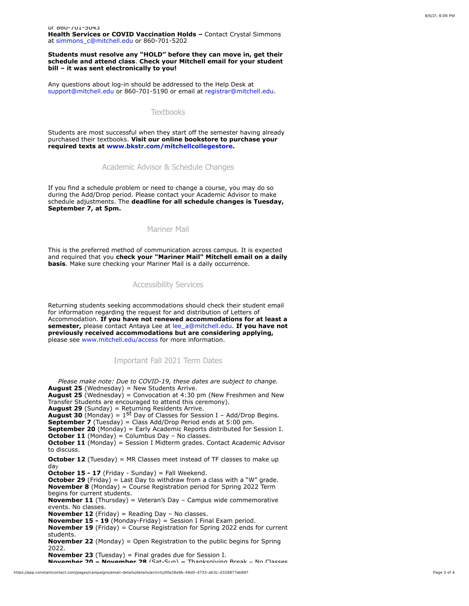or 860-701-5043 **Health Services or COVID Vaccination Holds –** Contact Crystal Simmons at [simmons\\_c@mitchell.edu](mailto:simmons_c@mitchell.edu) or 860-701-5202

**Students must resolve any "HOLD" before they can move in, get their schedule and attend class**. **Check your Mitchell email for your student bill – it was sent electronically to you!**

Any questions about log-in should be addressed to the Help Desk at [support@mitchell.edu](mailto:support@mitchell.edu) or 860-701-5190 or email at [registrar@mitchell.edu](mailto:registrar@mitchell.edu).

### **[Textbooks](https://app.constantcontact.com/pages/campaigns/email-details/details/activity/0fe28a9b-49d0-4733-ab3c-d328877ab897#)**

Students are most successful when they start off the semester having already purchased their textbooks. **Visit our online bookstore to purchase your required texts at [www.bkstr.com/mitchellcollegestore.](http://www.bkstr.com/mitchellcollegestore)**

[Academic Advisor & Schedule Changes](https://app.constantcontact.com/pages/campaigns/email-details/details/activity/0fe28a9b-49d0-4733-ab3c-d328877ab897#)

If you find a schedule problem or need to change a course, you may do so during the Add/Drop period. Please contact your Academic Advisor to make schedule adjustments. The **deadline for all schedule changes is Tuesday, September 7, at 5pm.**

## [Mariner Mail](https://app.constantcontact.com/pages/campaigns/email-details/details/activity/0fe28a9b-49d0-4733-ab3c-d328877ab897#)

This is the preferred method of communication across campus. It is expected and required that you **check your "Mariner Mail" Mitchell email on a daily basis**. Make sure checking your Mariner Mail is a daily occurrence.

#### [Accessibility Services](https://app.constantcontact.com/pages/campaigns/email-details/details/activity/0fe28a9b-49d0-4733-ab3c-d328877ab897#)

Returning students seeking accommodations should check their student email for information regarding the request for and distribution of Letters of Accommodation. **If you have not renewed accommodations for at least a semester,** please contact Antaya Lee at lee a@mitchell.edu. If you have not **previously received accommodations but are considering applying,** please see [www.mitchell.edu/access](http://www.mitchell.edu/access) for more information.

### [Important Fall 2021 Term Dates](https://app.constantcontact.com/pages/campaigns/email-details/details/activity/0fe28a9b-49d0-4733-ab3c-d328877ab897#)

*Please make note: Due to COVID-19, these dates are subject to change.* **August 25** (Wednesday) = New Students Arrive. **August 25** (Wednesday) = Convocation at 4:30 pm (New Freshmen and New Transfer Students are encouraged to attend this ceremony). **August 29** (Sunday) = Returning Residents Arrive.<br>**August 30** (Monday) = 1<sup>St</sup> Day of Classes for Session I - Add/Drop Begins. **September 7** (Tuesday) = Class Add/Drop Period ends at 5:00 pm. **September 20** (Monday) = Early Academic Reports distributed for Session I. **October 11** (Monday) = Columbus Day - No classes. **October 11** (Monday) = Session I Midterm grades. Contact Academic Advisor to discuss. **October 12** (Tuesday) = MR Classes meet instead of TF classes to make up day **October 15 - 17** (Friday - Sunday) = Fall Weekend. **October 29** (Friday) = Last Day to withdraw from a class with a "W" grade. **November 8** (Monday) = Course Registration period for Spring 2022 Term begins for current students. **November 11** (Thursday) = Veteran's Day – Campus wide commemorative events. No classes. **November 12** (Friday) = Reading Day – No classes. **November 15 - 19** (Monday-Friday) = Session I Final Exam period. **November 19** (Friday) = Course Registration for Spring 2022 ends for current students. **November 22** (Monday) = Open Registration to the public begins for Spring 2022. **November 23** (Tuesday) = Final grades due for Session I.

**November 20 – November 28** (Sat-Sun) = Thanksgiving Break – No Classes